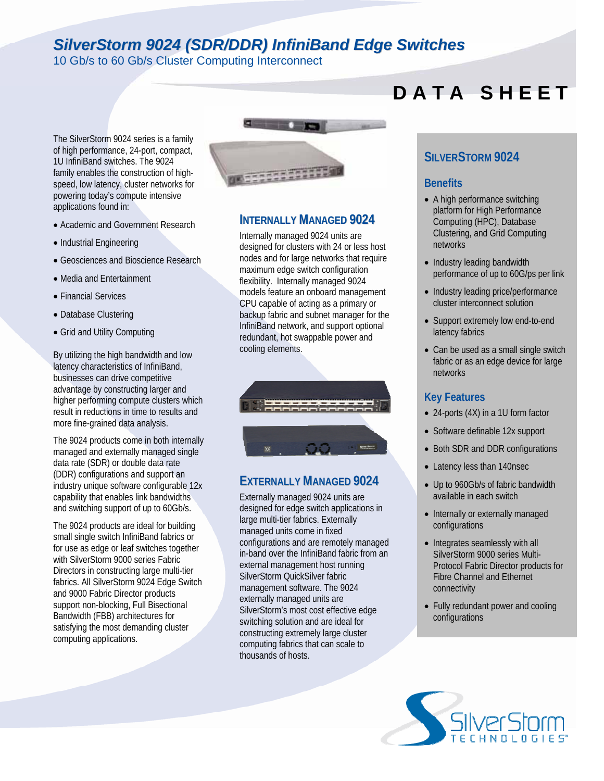# *SilverStorm 9024 (SDR/DDR) InfiniBand Edge Switches*

10 Gb/s to 60 Gb/s Cluster Computing Interconnect

#### The SilverStorm 9024 series is a family of high performance, 24-port, compact, 1U InfiniBand switches. The 9024 family enables the construction of highspeed, low latency, cluster networks for powering today's compute intensive applications found in:

- Academic and Government Research
- Industrial Engineering
- Geosciences and Bioscience Research
- Media and Entertainment
- Financial Services
- Database Clustering
- Grid and Utility Computing

By utilizing the high bandwidth and low latency characteristics of InfiniBand, businesses can drive competitive advantage by constructing larger and higher performing compute clusters which result in reductions in time to results and more fine-grained data analysis.

The 9024 products come in both internally managed and externally managed single data rate (SDR) or double data rate (DDR) configurations and support an industry unique software configurable 12x capability that enables link bandwidths and switching support of up to 60Gb/s.

The 9024 products are ideal for building small single switch InfiniBand fabrics or for use as edge or leaf switches together with SilverStorm 9000 series Fabric Directors in constructing large multi-tier fabrics. All SilverStorm 9024 Edge Switch and 9000 Fabric Director products support non-blocking, Full Bisectional Bandwidth (FBB) architectures for satisfying the most demanding cluster computing applications.



#### **INTERNALLY MANAGED 9024**

Internally managed 9024 units are designed for clusters with 24 or less host nodes and for large networks that require maximum edge switch configuration flexibility. Internally managed 9024 models feature an onboard management CPU capable of acting as a primary or backup fabric and subnet manager for the InfiniBand network, and support optional redundant, hot swappable power and cooling elements.



### **EXTERNALLY MANAGED 9024**

Externally managed 9024 units are designed for edge switch applications in large multi-tier fabrics. Externally managed units come in fixed configurations and are remotely managed in-band over the InfiniBand fabric from an external management host running SilverStorm QuickSilver fabric management software. The 9024 externally managed units are SilverStorm's most cost effective edge switching solution and are ideal for constructing extremely large cluster computing fabrics that can scale to thousands of hosts.

# **D A T A S H E E T**

#### **SILVERSTORM 9024**

#### **Benefits**

- A high performance switching platform for High Performance Computing (HPC), Database Clustering, and Grid Computing networks
- Industry leading bandwidth performance of up to 60G/ps per link
- Industry leading price/performance cluster interconnect solution
- Support extremely low end-to-end latency fabrics
- Can be used as a small single switch fabric or as an edge device for large networks

#### **Key Features**

- 24-ports (4X) in a 1U form factor
- Software definable 12x support
- Both SDR and DDR configurations
- Latency less than 140nsec
- Up to 960Gb/s of fabric bandwidth available in each switch
- Internally or externally managed configurations
- Integrates seamlessly with all SilverStorm 9000 series Multi-Protocol Fabric Director products for Fibre Channel and Ethernet connectivity
- Fully redundant power and cooling configurations